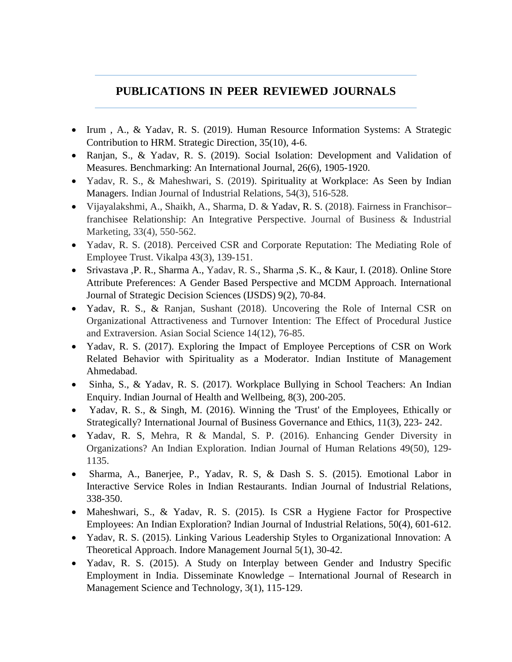## **PUBLICATIONS IN PEER REVIEWED JOURNALS**

- Irum, A., & Yadav, R. S. (2019). Human Resource Information Systems: A Strategic Contribution to HRM. Strategic Direction, 35(10), 4-6.
- Ranjan, S., & Yadav, R. S. (2019). Social Isolation: Development and Validation of Measures. Benchmarking: An International Journal, 26(6), 1905-1920.
- Yadav, R. S., & Maheshwari, S. (2019). Spirituality at Workplace: As Seen by Indian Managers. Indian Journal of Industrial Relations, 54(3), 516-528.
- Vijayalakshmi, A., Shaikh, A., Sharma, D. & Yadav, R. S. (2018). Fairness in Franchisor– franchisee Relationship: An Integrative Perspective. Journal of Business & Industrial Marketing, 33(4), 550-562.
- Yadav, R. S. (2018). Perceived CSR and Corporate Reputation: The Mediating Role of Employee Trust. Vikalpa 43(3), 139-151.
- Srivastava ,P. R., Sharma A., Yadav, R. S., Sharma ,S. K., & Kaur, I. (2018). Online Store Attribute Preferences: A Gender Based Perspective and MCDM Approach. International Journal of Strategic Decision Sciences (IJSDS) 9(2), 70-84.
- Yadav, R. S., & Ranjan, Sushant (2018). Uncovering the Role of Internal CSR on Organizational Attractiveness and Turnover Intention: The Effect of Procedural Justice and Extraversion. Asian Social Science 14(12), 76-85.
- Yadav, R. S. (2017). Exploring the Impact of Employee Perceptions of CSR on Work Related Behavior with Spirituality as a Moderator. Indian Institute of Management Ahmedabad.
- Sinha, S., & Yadav, R. S. (2017). Workplace Bullying in School Teachers: An Indian Enquiry. Indian Journal of Health and Wellbeing, 8(3), 200-205.
- Yadav, R. S., & Singh, M. (2016). Winning the 'Trust' of the Employees, Ethically or Strategically? International Journal of Business Governance and Ethics, 11(3), 223- 242.
- Yadav, R. S, Mehra, R & Mandal, S. P. (2016). Enhancing Gender Diversity in Organizations? An Indian Exploration. Indian Journal of Human Relations 49(50), 129- 1135.
- Sharma, A., Banerjee, P., Yadav, R. S, & Dash S. S. (2015). Emotional Labor in Interactive Service Roles in Indian Restaurants. Indian Journal of Industrial Relations, 338-350.
- Maheshwari, S., & Yadav, R. S. (2015). Is CSR a Hygiene Factor for Prospective Employees: An Indian Exploration? Indian Journal of Industrial Relations, 50(4), 601-612.
- Yadav, R. S. (2015). Linking Various Leadership Styles to Organizational Innovation: A Theoretical Approach. Indore Management Journal 5(1), 30-42.
- Yadav, R. S. (2015). A Study on Interplay between Gender and Industry Specific Employment in India. Disseminate Knowledge – International Journal of Research in Management Science and Technology, 3(1), 115-129.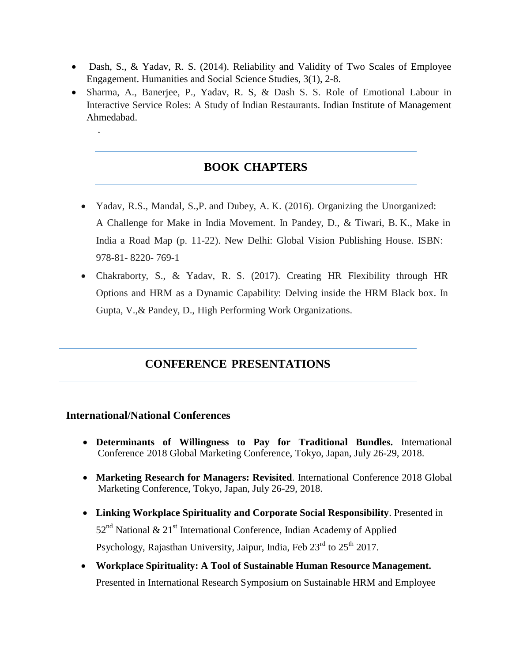- Dash, S., & Yadav, R. S. (2014). Reliability and Validity of Two Scales of Employee Engagement. Humanities and Social Science Studies, 3(1), 2-8.
- Sharma, A., Banerjee, P., Yadav, R. S, & Dash S. S. Role of Emotional Labour in Interactive Service Roles: A Study of Indian Restaurants. Indian Institute of Management Ahmedabad.

## **BOOK CHAPTERS**

- Yadav, R.S., Mandal, S.,P. and Dubey, A. K. (2016). Organizing the Unorganized: A Challenge for Make in India Movement. In Pandey, D., & Tiwari, B. K., Make in India a Road Map (p. 11-22). New Delhi: Global Vision Publishing House. ISBN: 978-81- 8220- 769-1
- Chakraborty, S., & Yadav, R. S. (2017). Creating HR Flexibility through HR Options and HRM as a Dynamic Capability: Delving inside the HRM Black box. In Gupta, V.,& Pandey, D., High Performing Work Organizations.

## **CONFERENCE PRESENTATIONS**

## **International/National Conferences**

.

- **Determinants of Willingness to Pay for Traditional Bundles.** International Conference 2018 Global Marketing Conference, Tokyo, Japan, July 26-29, 2018.
- **Marketing Research for Managers: Revisited**. International Conference 2018 Global Marketing Conference, Tokyo, Japan, July 26-29, 2018.
- **Linking Workplace Spirituality and Corporate Social Responsibility**. Presented in 52<sup>nd</sup> National & 21<sup>st</sup> International Conference, Indian Academy of Applied Psychology, Rajasthan University, Jaipur, India, Feb  $23<sup>rd</sup>$  to  $25<sup>th</sup>$  2017.
- **Workplace Spirituality: A Tool of Sustainable Human Resource Management.** Presented in International Research Symposium on Sustainable HRM and Employee